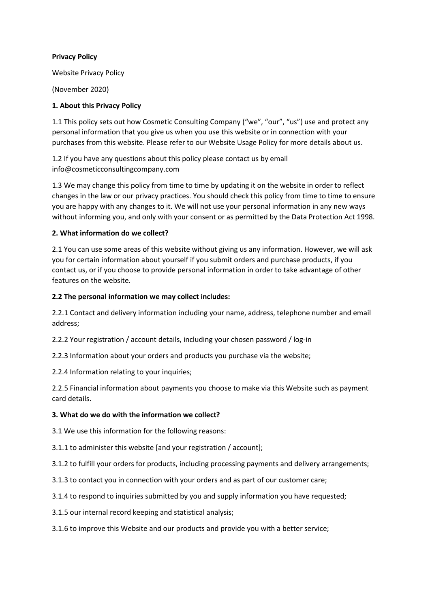### Privacy Policy

Website Privacy Policy

(November 2020)

## 1. About this Privacy Policy

1.1 This policy sets out how Cosmetic Consulting Company ("we", "our", "us") use and protect any personal information that you give us when you use this website or in connection with your purchases from this website. Please refer to our Website Usage Policy for more details about us.

1.2 If you have any questions about this policy please contact us by email info@cosmeticconsultingcompany.com

1.3 We may change this policy from time to time by updating it on the website in order to reflect changes in the law or our privacy practices. You should check this policy from time to time to ensure you are happy with any changes to it. We will not use your personal information in any new ways without informing you, and only with your consent or as permitted by the Data Protection Act 1998.

### 2. What information do we collect?

2.1 You can use some areas of this website without giving us any information. However, we will ask you for certain information about yourself if you submit orders and purchase products, if you contact us, or if you choose to provide personal information in order to take advantage of other features on the website.

### 2.2 The personal information we may collect includes:

2.2.1 Contact and delivery information including your name, address, telephone number and email address;

2.2.2 Your registration / account details, including your chosen password / log-in

2.2.3 Information about your orders and products you purchase via the website;

2.2.4 Information relating to your inquiries;

2.2.5 Financial information about payments you choose to make via this Website such as payment card details.

#### 3. What do we do with the information we collect?

3.1 We use this information for the following reasons:

3.1.1 to administer this website [and your registration / account];

3.1.2 to fulfill your orders for products, including processing payments and delivery arrangements;

- 3.1.3 to contact you in connection with your orders and as part of our customer care;
- 3.1.4 to respond to inquiries submitted by you and supply information you have requested;
- 3.1.5 our internal record keeping and statistical analysis;

3.1.6 to improve this Website and our products and provide you with a better service;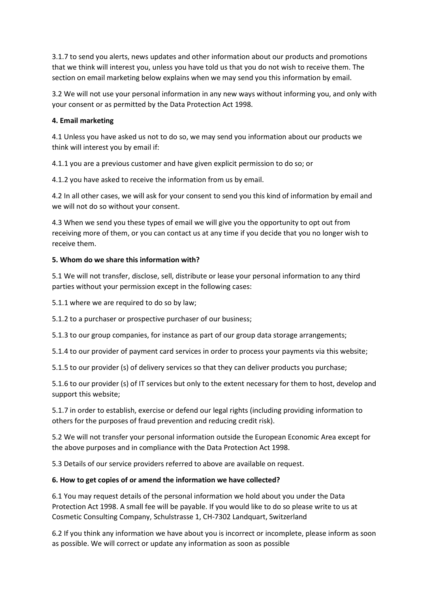3.1.7 to send you alerts, news updates and other information about our products and promotions that we think will interest you, unless you have told us that you do not wish to receive them. The section on email marketing below explains when we may send you this information by email.

3.2 We will not use your personal information in any new ways without informing you, and only with your consent or as permitted by the Data Protection Act 1998.

### 4. Email marketing

4.1 Unless you have asked us not to do so, we may send you information about our products we think will interest you by email if:

4.1.1 you are a previous customer and have given explicit permission to do so; or

4.1.2 you have asked to receive the information from us by email.

4.2 In all other cases, we will ask for your consent to send you this kind of information by email and we will not do so without your consent.

4.3 When we send you these types of email we will give you the opportunity to opt out from receiving more of them, or you can contact us at any time if you decide that you no longer wish to receive them.

### 5. Whom do we share this information with?

5.1 We will not transfer, disclose, sell, distribute or lease your personal information to any third parties without your permission except in the following cases:

5.1.1 where we are required to do so by law;

5.1.2 to a purchaser or prospective purchaser of our business;

5.1.3 to our group companies, for instance as part of our group data storage arrangements;

5.1.4 to our provider of payment card services in order to process your payments via this website;

5.1.5 to our provider (s) of delivery services so that they can deliver products you purchase;

5.1.6 to our provider (s) of IT services but only to the extent necessary for them to host, develop and support this website;

5.1.7 in order to establish, exercise or defend our legal rights (including providing information to others for the purposes of fraud prevention and reducing credit risk).

5.2 We will not transfer your personal information outside the European Economic Area except for the above purposes and in compliance with the Data Protection Act 1998.

5.3 Details of our service providers referred to above are available on request.

## 6. How to get copies of or amend the information we have collected?

6.1 You may request details of the personal information we hold about you under the Data Protection Act 1998. A small fee will be payable. If you would like to do so please write to us at Cosmetic Consulting Company, Schulstrasse 1, CH-7302 Landquart, Switzerland

6.2 If you think any information we have about you is incorrect or incomplete, please inform as soon as possible. We will correct or update any information as soon as possible